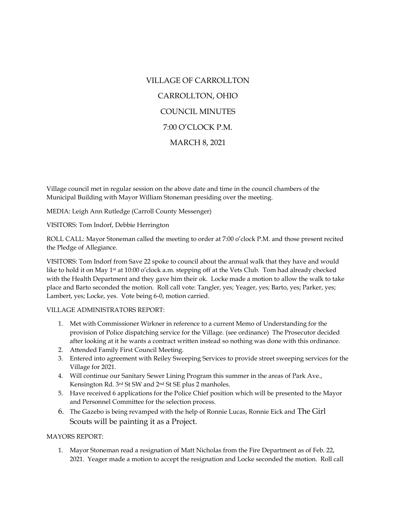# VILLAGE OF CARROLLTON CARROLLTON, OHIO COUNCIL MINUTES 7:00 O'CLOCK P.M. MARCH 8, 2021

Village council met in regular session on the above date and time in the council chambers of the Municipal Building with Mayor William Stoneman presiding over the meeting.

MEDIA: Leigh Ann Rutledge (Carroll County Messenger)

VISITORS: Tom Indorf, Debbie Herrington

ROLL CALL: Mayor Stoneman called the meeting to order at 7:00 o'clock P.M. and those present recited the Pledge of Allegiance.

VISITORS: Tom Indorf from Save 22 spoke to council about the annual walk that they have and would like to hold it on May 1<sup>st</sup> at 10:00 o'clock a.m. stepping off at the Vets Club. Tom had already checked with the Health Department and they gave him their ok. Locke made a motion to allow the walk to take place and Barto seconded the motion. Roll call vote: Tangler, yes; Yeager, yes; Barto, yes; Parker, yes; Lambert, yes; Locke, yes. Vote being 6-0, motion carried.

### VILLAGE ADMINISTRATORS REPORT:

- 1. Met with Commissioner Wirkner in reference to a current Memo of Understanding for the provision of Police dispatching service for the Village. (see ordinance) The Prosecutor decided after looking at it he wants a contract written instead so nothing was done with this ordinance.
- 2. Attended Family First Council Meeting.
- 3. Entered into agreement with Reiley Sweeping Services to provide street sweeping services for the Village for 2021.
- 4. Will continue our Sanitary Sewer Lining Program this summer in the areas of Park Ave., Kensington Rd. 3rd St SW and 2nd St SE plus 2 manholes.
- 5. Have received 6 applications for the Police Chief position which will be presented to the Mayor and Personnel Committee for the selection process.
- 6. The Gazebo is being revamped with the help of Ronnie Lucas, Ronnie Eick and The Girl Scouts will be painting it as a Project.

## MAYORS REPORT:

1. Mayor Stoneman read a resignation of Matt Nicholas from the Fire Department as of Feb. 22, 2021. Yeager made a motion to accept the resignation and Locke seconded the motion. Roll call